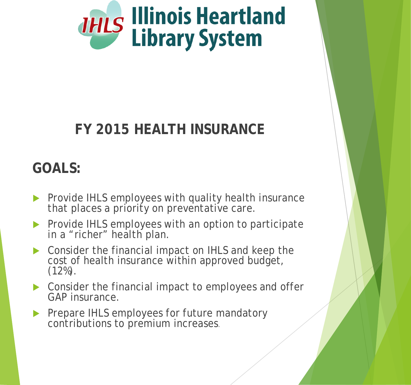

Attachment N

### **FY 2015 HEALTH INSURANCE**

#### **GOALS:**

- Provide IHLS employees with quality health insurance that places a priority on preventative care.
- Provide IHLS employees with an option to participate in a "richer" health plan.
- ▶ Consider the financial impact on IHLS and keep the cost of health insurance within approved budget,  $(12\%)$ .
- **Consider the financial impact to employees and offer** GAP insurance.
- Prepare IHLS employees for future mandatory contributions to premium increases.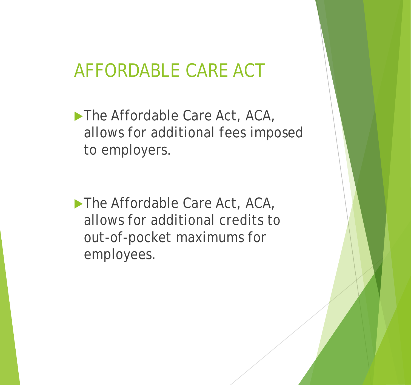## AFFORDABLE CARE ACT

▶ The Affordable Care Act, ACA, allows for additional fees imposed to employers.

The Affordable Care Act, ACA, allows for additional credits to out-of-pocket maximums for employees.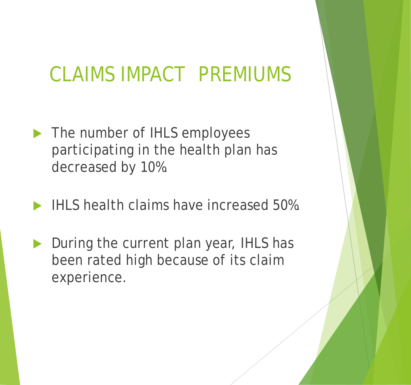# CLAIMS IMPACT PREMIUMS

- The number of IHLS employees participating in the health plan has decreased by 10%.
- IHLS health claims have increased 50%.
- During the current plan year, IHLS has been rated high because of its claim experience.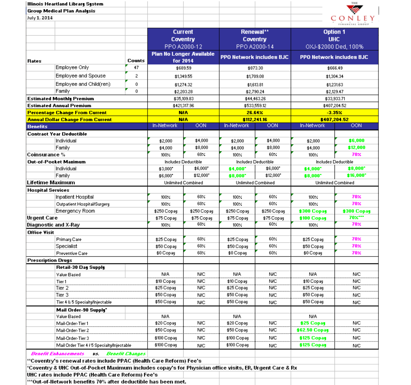| Illinois Heartland Library System                                                                        |                        |             |                                 |             |                                 |                      | THE                             |
|----------------------------------------------------------------------------------------------------------|------------------------|-------------|---------------------------------|-------------|---------------------------------|----------------------|---------------------------------|
| <b>Group Medical Plan Analysis</b>                                                                       |                        |             |                                 |             |                                 |                      |                                 |
| July 1, 2014                                                                                             |                        |             |                                 |             |                                 |                      |                                 |
|                                                                                                          |                        |             |                                 |             |                                 |                      | CONLEY                          |
|                                                                                                          |                        |             | <b>Current</b>                  |             | Renewal**                       |                      | <b>Option 1</b>                 |
|                                                                                                          |                        |             | Coventry                        |             | Coventry                        | <b>UHC</b>           |                                 |
|                                                                                                          |                        |             | PPO A2000-12                    |             | PPO A2000-14                    |                      | OXJ-\$2000 Ded, 100%            |
|                                                                                                          |                        |             | <b>Plan No Longer Available</b> |             |                                 |                      |                                 |
| Rates                                                                                                    | <b>Counts</b>          |             | for 2014                        |             | <b>PPO Network includes BJC</b> |                      | <b>PPO Network includes BJC</b> |
| Employee Only                                                                                            | 47                     |             | \$689.59                        |             | \$873.30                        |                      | \$666.49                        |
| Employee and Spouse                                                                                      | $\overline{c}$         |             |                                 |             |                                 |                      |                                 |
|                                                                                                          |                        |             | \$1,349.55                      |             | \$1,709.08                      |                      | \$1,304.34                      |
| Employee and Child(ren)                                                                                  | 0                      |             | \$1,274.32                      |             | \$1,613.81                      |                      | \$1,231.63                      |
| Family                                                                                                   | 0                      |             | \$2,203.28                      |             | \$2,790.24                      |                      | \$2,129.47                      |
| <b>Estimated Monthly Premium</b>                                                                         |                        |             | \$35,109.83                     |             | \$44,463.26                     |                      | \$33,933.71                     |
| <b>Estimated Annual Premium</b>                                                                          |                        |             | \$421,317.96                    |             | \$533,559.12                    |                      | \$407,204.52                    |
| <b>Percentage Change From Current</b>                                                                    |                        |             | <b>NIA</b>                      |             | 26.64%                          |                      | $-3.35\times$                   |
| <b>Annual Dollar Change From Current</b>                                                                 |                        |             | <b>NIA</b>                      |             | \$112,241.16                    |                      | \$407,204.52                    |
| <b>Benefits</b>                                                                                          |                        | In-Network  | <b>OON</b>                      | In-Network  | <b>OON</b>                      | In-Network           | OON                             |
| <b>Contract Year Deductible</b>                                                                          |                        |             |                                 |             |                                 |                      |                                 |
| Individual                                                                                               |                        | \$2,000     | \$4,000                         | \$2,000     | \$4,000                         | \$2,000              | \$6,000                         |
| Family                                                                                                   |                        | \$4,000     | \$8,000                         | \$4,000     | \$8,000                         | \$4,000              | \$12,000                        |
| Coinsurance %                                                                                            |                        | 100%        | 60%                             | 100%        | 60%                             | 100%                 | 70%                             |
| Out-of-Pocket Maximum                                                                                    |                        |             | <b>Includes Deductible</b>      |             | Includes Deductible             |                      | Includes Deductible             |
| Individual                                                                                               |                        | \$3,000*    | \$6,000*                        | \$4,000     | \$6,000*                        | \$4,000              | \$8,000                         |
| Family                                                                                                   |                        | \$6,000*    | \$12,000*                       | \$8,000     | \$12,000*                       | \$8,000              | \$16,000*                       |
| Lifetime Maximum                                                                                         |                        |             | <b>Unlimited Combined</b>       |             | <b>Unlimited Combined</b>       |                      | <b>Unlimited Combined</b>       |
| <b>Hospital Services</b>                                                                                 |                        |             |                                 |             |                                 |                      |                                 |
| Inpatient Hospital                                                                                       |                        | 100%        | 60%                             | 100%        | 60%                             | 100%                 | <b>70%</b>                      |
| Outpatient Hospital/Surgery                                                                              |                        | 100%        | $60\times$                      | 100%        | 60%                             | 100%                 | 70%                             |
| Emergency Room                                                                                           |                        | \$250 Copay | \$250 Copay                     | \$250 Copay | \$250 Copay                     | \$300 Copay          | \$300 Copay                     |
| Urgent Care                                                                                              |                        | \$75 Copay  | \$75 Copay                      | \$75 Copay  | \$75 Copay                      | \$100 Copay          | 70%***                          |
| Diagnostic and X-Ray                                                                                     |                        | $100\%$     | $60\%$                          | 100%        | 60%                             | 100%                 | 70%                             |
| <b>Office Visit</b>                                                                                      |                        |             |                                 |             |                                 |                      |                                 |
| <b>Primary Care</b>                                                                                      |                        | \$25 Copay  | $60\times$                      | \$25 Copay  | $60\%$                          | \$25 Copay           | <b>70%</b>                      |
| Specialist                                                                                               |                        | \$50 Copay  | 60%                             | \$50 Copay  | 60<                             | \$50 Copay           | 70%                             |
| Preventive Care                                                                                          |                        | \$0 Copay   | 60%                             | \$0 Copay   | 60<                             | \$0 Copay            | 70%                             |
| <b>Prescription Drugs</b>                                                                                |                        |             |                                 |             |                                 |                      |                                 |
| Retail-30 Day Supply                                                                                     |                        |             |                                 |             |                                 |                      |                                 |
| Value Based                                                                                              |                        | NIA.        | <b>N/C</b>                      | NIA.        | N/C                             | N/A                  | <b>N/C</b>                      |
| Tier <sub>1</sub>                                                                                        |                        | \$10 Copay  | <b>N/C</b>                      | \$10 Copay  | <b>N/C</b>                      | \$10 Copay           | <b>N/C</b>                      |
| Tier 2                                                                                                   |                        | \$25 Copay  | <b>N/C</b>                      | \$25 Copay  | <b>N/C</b>                      | \$25 Copay           | <b>N/C</b>                      |
| Tier 3                                                                                                   |                        | \$50 Copay  | <b>N/C</b>                      | \$50 Copay  | <b>N/C</b>                      | \$50 Copay           | <b>N/C</b>                      |
| Tier 4 & 5 Specialty/Injectable                                                                          |                        | \$50 Copay  | <b>NIC</b>                      | \$50 Copay  | <b>N/C</b>                      | \$50 Copay           | <b>N/C</b>                      |
| Mail Order-90 Supply"                                                                                    |                        |             |                                 |             |                                 |                      |                                 |
| Value Based                                                                                              |                        | N/A         |                                 | N/A         |                                 | <b>NIA</b>           |                                 |
| Mail-Order-Tier 1                                                                                        |                        | \$20 Copay  | <b>N/C</b>                      | \$20 Copay  | <b>N/C</b>                      | \$25 Copay           | <b>N/C</b>                      |
| Mail-Order-Tier 2                                                                                        |                        | \$50 Copay  | <b>N/C</b>                      | \$50 Copay  | NIC                             | <b>\$62.50 Copay</b> | N/C                             |
| Mail-Order-Tier 3                                                                                        |                        | \$100 Copay | <b>N/C</b>                      | \$100 Copay | NЮ                              | \$125 Copay          | <b>NIC</b>                      |
| Mail Order Tier 4 / 5 Specialty/Injectable                                                               |                        | \$100 Copay | <b>NIC</b>                      | \$100 Copay | <b>NIC</b>                      | \$125 Copay          | N/C                             |
| <b>Benefit Enhancements</b>                                                                              |                        |             |                                 |             |                                 |                      |                                 |
| 95.                                                                                                      | <b>Benefit Changes</b> |             |                                 |             |                                 |                      |                                 |
| "Coventry's renewal rates include PPAC (Health Care Reform) Fee's                                        |                        |             |                                 |             |                                 |                      |                                 |
| 'Coventry & UHC Out-of-Pocket Maximum includes copay's for Physician office visits, ER, Urgent Care & Rx |                        |             |                                 |             |                                 |                      |                                 |
| UHC rates include PPAC (Health Care Reform) Fee's                                                        |                        |             |                                 |             |                                 |                      |                                 |
| ***Out-of-Network benefits 70% after deductible has been met.                                            |                        |             |                                 |             |                                 |                      |                                 |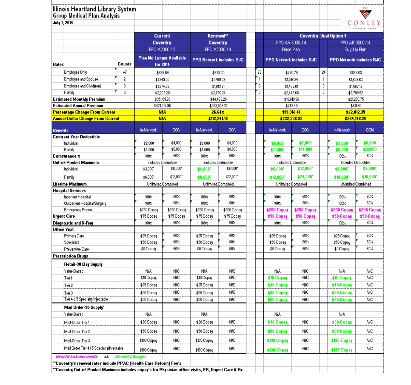| <b>Group Medical Plan Analysis</b><br><b>July 1, 2014</b> |                |                                 |                     |                                 |                   |              |                   |                                 |              |                                 |                                 |
|-----------------------------------------------------------|----------------|---------------------------------|---------------------|---------------------------------|-------------------|--------------|-------------------|---------------------------------|--------------|---------------------------------|---------------------------------|
|                                                           |                |                                 |                     |                                 |                   |              |                   |                                 |              |                                 | CONLE<br><b>TINANCIAL GROUP</b> |
|                                                           |                |                                 | <b>Current</b>      | Renewal**                       |                   |              |                   | <b>Coventry Dual Option 1</b>   |              |                                 |                                 |
|                                                           |                |                                 | Coventry            | Coventry                        |                   |              |                   | PPO AR 5000-14                  |              |                                 | PPO AR 3000-14                  |
|                                                           |                | PPO A2000-12                    |                     | PPO A2000-14                    |                   |              |                   | Base Plan                       |              |                                 | Buy-Up Plan                     |
|                                                           |                | <b>Plan No Longer Available</b> |                     | <b>PPO Network includes BJC</b> |                   |              |                   | <b>PPO Network includes BJC</b> |              | <b>PPO Network includes BJC</b> |                                 |
| Rates                                                     | Counts         |                                 | for 2014            |                                 |                   |              |                   |                                 |              |                                 |                                 |
| <b>Employee Only</b>                                      | 47             |                                 | \$689.59            | \$873.30                        |                   | 23           |                   | \$775.79                        | 24           |                                 | \$848.03                        |
| Employee and Spouse                                       | $\overline{c}$ |                                 | \$1,349.55          | \$1,709.08                      |                   | $\mathbf{1}$ |                   | \$1,518.24                      | $\mathbf{1}$ |                                 | \$1,659.63                      |
| Employee and Child(ren)                                   | $\theta$       |                                 | \$1,274.32          | \$1,613.81                      |                   | $\mathbf{0}$ |                   | \$1,433.61                      | 0            |                                 | \$1,567.12                      |
| Family                                                    | $\mathbf{0}$   |                                 | \$2,203.28          | \$2,790.24                      |                   | $\mathbf{0}$ |                   | \$2,478.69                      | $\mathbf{0}$ |                                 | \$2,709.52                      |
| <b>Estimated Monthly Premium</b>                          |                |                                 | \$35,109.83         | \$44,463.26                     |                   |              |                   | \$18,618.96                     |              |                                 | \$21,200.75                     |
| <b>Estimated Annual Premium</b>                           |                |                                 | \$421,317.96        | \$533,559.12                    |                   |              |                   | \$742.45                        |              |                                 | \$811.60                        |
| <b>Percentage Change From Current</b>                     |                |                                 | <b>NIA</b>          | 26.64%                          |                   |              |                   | \$19,361.41                     |              | \$22,012.35                     |                                 |
| <b>Annual Dollar Change From Current</b>                  |                |                                 | <b>NIA</b>          | \$112,241.16                    |                   |              |                   | \$232,336.92                    |              | \$264,148.20                    |                                 |
| <b>Benefits</b>                                           |                | In-Network                      | OON                 | In-Network                      | <b>OON</b>        |              | In-Network        | <b>OON</b>                      |              | In-Network                      | OON                             |
| <b>Contract Year Deductible</b>                           |                |                                 |                     |                                 |                   |              |                   |                                 |              |                                 |                                 |
| Individual                                                |                | \$2,000                         | \$4,000             | \$2,000                         | \$4,000           |              | \$5,000           | \$7,000                         |              | \$3,000                         | \$6,000                         |
| Family                                                    |                | \$4,000                         | \$8,000             | \$4,000                         | \$8,000           |              | \$10,000          | \$14,000                        |              | \$6,000                         | \$12,000                        |
| Coinsurance X                                             |                | $100\%$                         | 60%                 | 100%                            | 60%               |              | 100%              | 60%                             |              | 100%                            | 60%                             |
| Out-of-Pocket Maximum                                     |                |                                 | Includes Deductible | Includes Deductible             |                   |              |                   | Includes Deductible             |              | Includes Deductible             |                                 |
| Individual                                                |                | \$3,000*                        | \$6,000             | \$4,000                         | \$6,000*          |              | \$6,000*          | \$12,000                        |              | \$5,000                         | \$8,000                         |
| Family                                                    |                | \$6,000*                        | \$12,000*           | \$8,000                         | \$12,000*         |              | \$12,000*         | \$24,000*                       |              | <b>\$10,000</b>                 | \$16,000*                       |
| Lifetime Mazimum                                          |                |                                 | Unlimited Combined  | Unlimited Combined              |                   |              |                   | Unlimited Combined              |              |                                 | Unlimited Combined              |
| <b>Hospital Services</b>                                  |                |                                 |                     |                                 |                   |              |                   |                                 |              |                                 |                                 |
| Inpatient Hospital                                        |                | $100\%$                         | 60%                 | 100%                            | 60%               |              | 100%              | 60%                             |              | 100%                            | 60%                             |
| Outpatient Hospital/Surgery                               |                | 100%                            | 60%                 | 100%                            | 60%               |              | 100%              | 60%                             |              | 100%                            | 60%                             |
| Emergency Room                                            |                | \$250 Copay                     | \$250 Copay         | \$250 Copay                     | \$250 Copay       |              | \$200 Copay       | \$200 Copay                     |              | \$200 Copay                     | \$200 Copay                     |
| <b>Urgent Care</b>                                        |                | \$75 Copay                      | \$75 Copay<br>60%   | \$75 Copay                      | \$75 Copay<br>60% |              | \$50 Copay        | \$50 Copay<br>$60\%$            |              | \$50 Copay<br>100%              | <b>\$50 Copay</b><br>60%        |
| <b>Diagnostic and X-Ray</b><br><b>Office Visit</b>        |                | 100%                            |                     | 100%                            |                   |              | 100%              |                                 |              |                                 |                                 |
| Primary Care                                              |                | \$25 Copay                      | 60%                 | \$25 Copay                      | $60\times$        |              | \$25 Copau        | 60%                             |              | \$25 Copay                      | 60%                             |
| Specialist                                                |                | \$50 Copay                      | $60\%$              | \$50 Copay                      | $60\%$            |              | \$50 Copay        | 60%                             |              | \$50 Copay                      | 60%                             |
| Preventive Care                                           |                | \$0 Copay                       | 60%                 | \$0 Copay                       | 60%               |              | \$0 Copay         | 60%                             |              | \$0 Copay                       | 60%                             |
| <b>Prescription Drugs</b>                                 |                |                                 |                     |                                 |                   |              |                   |                                 |              |                                 |                                 |
| Retail-30 Day Supply                                      |                |                                 |                     |                                 |                   |              |                   |                                 |              |                                 |                                 |
| Value Based                                               |                | NIA                             | <b>N/C</b>          | N/A                             | <b>N/C</b>        |              | N/A               | <b>N/C</b>                      |              | NIA.                            | <b>N/C</b>                      |
| Tier 1                                                    |                | \$10 Copay                      | <b>N/C</b>          | \$10 Copay                      | <b>N/C</b>        |              | <b>\$15 Copay</b> | <b>N/C</b>                      |              | \$15 Copay                      | <b>N/C</b>                      |
| Tier 2                                                    |                | \$25 Copay                      | <b>N/C</b>          | \$25 Copau                      | <b>N/C</b>        |              | \$40 Copay        | <b>N/C</b>                      |              | \$40 Copay                      | N/C                             |
| Tier 3                                                    |                | \$50 Copay                      | <b>N/C</b>          | \$50 Copay                      | <b>N/C</b>        |              | \$65 Copay        | <b>N/C</b>                      |              | \$65 Copay                      | <b>N/C</b>                      |
| Tier 4 & 5 Specialty/Injectable                           |                | \$50 Copay                      | <b>N/C</b>          | \$50 Copay                      | <b>N/C</b>        |              | \$65 Copay        | <b>N/C</b>                      |              | \$65 Copay                      | N/C                             |
| Mail Order-90 Supply"                                     |                |                                 |                     |                                 |                   |              |                   |                                 |              |                                 |                                 |
| Value Based                                               |                | <b>NIA</b>                      |                     | NIA.                            |                   |              | N/A               |                                 |              | NIA.                            |                                 |
| Mail-Order-Tier 1                                         |                | \$20 Copay                      | MC                  | \$20 Copay                      | <b>NIC</b>        |              | \$30 Copay        | NIC                             |              | \$30 Copay                      | N/C                             |
|                                                           |                |                                 |                     |                                 |                   |              |                   |                                 |              |                                 |                                 |
| Mail-Order-Tier 2                                         |                | \$50 Copay                      | N/C                 | \$50 Copay                      | <b>NIC</b>        |              | \$80 Copay        | N/C                             |              | \$80 Copay                      | N/C                             |
| Mail-Order-Tier 3                                         |                | \$100 Copay                     | N/C                 | \$100 Copay                     | <b>N/C</b>        |              | \$130 Copay       | N/C                             |              | \$130 Copay                     | <b>N/C</b>                      |
| Mail Order Tier 4 / 5 Specialty/Injectable                |                | \$100 Copay                     | N/C                 | \$100 Copay                     | N/C               |              | \$130 Copay       | N/C                             |              | \$130 Copay                     | <b>N/C</b>                      |
|                                                           |                | <i>vs.</i> Benefit Changes      |                     |                                 |                   |              |                   |                                 |              |                                 |                                 |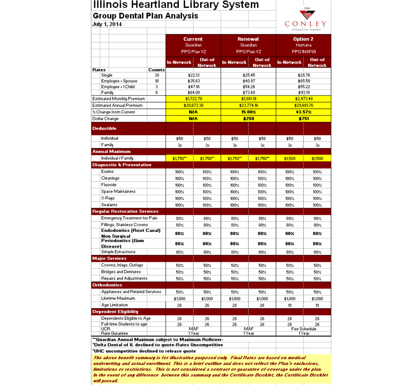| Illinois Heartland Library System |  |  |
|-----------------------------------|--|--|
|                                   |  |  |

#### **Group Dental Plan Analysis**



| VWY 1. CV 17                                                  |               |                    |                          |                   |                          |                    | . .<br>FINANCIAL GROUP   |
|---------------------------------------------------------------|---------------|--------------------|--------------------------|-------------------|--------------------------|--------------------|--------------------------|
|                                                               |               |                    |                          |                   |                          |                    |                          |
|                                                               |               | <b>Current</b>     |                          | <b>Renewal</b>    |                          | <b>Option 2</b>    |                          |
|                                                               |               | Guardian           |                          | Guardian          |                          | Humana             |                          |
|                                                               |               | PPO Plan VZ        |                          | PPO Plan VZ       |                          | PPO INSF09         |                          |
|                                                               |               | <b>In-Network</b>  | Out-of<br><b>Network</b> | <b>In-Network</b> | Out-of<br><b>Network</b> | In-Network         | <b>Out-of</b><br>Network |
| <b>Rates</b>                                                  | <b>Counts</b> |                    |                          |                   |                          |                    |                          |
| Single                                                        | 38            | \$22.13            |                          |                   | \$25.45                  | \$28.76            |                          |
| Employee + Spouse<br>Employee + 1 Child                       | 10<br>3       | \$35.63<br>\$47.18 |                          | \$40.97           | \$54.26                  | \$65.58<br>\$55.22 |                          |
| Family                                                        | 6             | \$64.00            |                          | \$73.60           |                          | \$93.19            |                          |
| Estimated Monthly Premium                                     |               | \$1,722.78         |                          | \$1,981.18        |                          | \$2,473.48         |                          |
| <b>Estimated Annual Premium</b>                               |               | \$20,673.36        |                          | \$23,774.16       |                          | \$29,681.76        |                          |
| X Change from Current                                         |               | <b>NIA</b>         |                          | $15.00\times$     |                          | 43.57 <sub>X</sub> |                          |
|                                                               |               | <b>NIA</b>         |                          | <b>\$258</b>      |                          | <b>\$751</b>       |                          |
| Dollar Change                                                 |               |                    |                          |                   |                          |                    |                          |
| <b>Deductible</b>                                             |               |                    |                          |                   |                          |                    |                          |
| Individual                                                    |               | \$50               | \$50                     | \$50              | \$50                     | \$50               | \$50                     |
| Family                                                        |               | 38                 | 3x                       | 3 <sub>8</sub>    | 3x                       | 3x                 | 3 <sub>8</sub>           |
| <b>Annual Mazimum</b>                                         |               |                    |                          |                   |                          |                    |                          |
| Individual / Family                                           |               | \$1,750"           | \$1,750"                 | \$1,750"          | \$1,750"                 | \$1,500            | \$1,500                  |
| <b>Diagnostic &amp; Preventative</b>                          |               |                    |                          |                   |                          |                    |                          |
| Exams                                                         |               | 100%               | 100%                     | 100%              | 100%                     | 100%               | 100%                     |
| Cleanings                                                     |               | 100%               | 100%                     | 100%              | 100%                     | 100%               | 100%                     |
| Fluoride                                                      |               | 100%               | 100%                     | 100%              | 100%                     | 100%               | 100%                     |
| Space Maintainers                                             |               | 100%               | 100%                     | 100%              | 100%                     | 100%               | 100%                     |
| X-Rays                                                        |               | $100\times$        | 100%                     | 100%              | 100%                     | 100%               | 100%                     |
| Sealants                                                      |               | 100%               | 100%                     | 100%              | 100%                     | 100%               | 100%                     |
| <b>Regular Restorative Services</b>                           |               |                    |                          |                   |                          |                    |                          |
|                                                               |               |                    |                          |                   |                          |                    |                          |
| Emergency Treatment for Pain                                  |               | 80%                | 80 <sub>4</sub>          | 80<               | 80<                      | 80<                | 80<                      |
| Fillings, Stainless Crowns<br><b>Endodontics (Root Canal)</b> |               | 80 <sub>4</sub>    | 80%                      | 80%               | 80 <sub>4</sub>          | 80<                | 80%                      |
| <b>Non Surgical</b>                                           |               | $80\times$         | $80\times$               | $80\times$        | 80%                      | $80\times$         | 80×                      |
| <b>Periodontics (Gum</b>                                      |               | $80\times$         | $80\times$               | $80\times$        | 80%                      | 80×                | 80×                      |
| <b>Diseasel</b>                                               |               |                    |                          |                   |                          |                    |                          |
| <b>Simple Extractions</b>                                     |               | 80%                | 80%                      | 80%               | 80%                      | $80\times$         | 80%                      |
| <b>Major Services</b>                                         |               |                    |                          |                   |                          |                    |                          |
| Crowns, Inlays, Outlays                                       |               | 50%                | 50%                      | 50%               | 50%                      | 50%                | 50%                      |
| <b>Bridges and Dentures</b>                                   |               | 50<                | 50<                      | $50\times$        | 50<                      | 50%                | 50<                      |
| <b>Repairs and Adjustments</b>                                |               | 50%                | 50%                      | 50%               | 50%                      | 50%                | 50%                      |
| <b>Orthodontics</b>                                           |               |                    |                          |                   |                          |                    |                          |
| Appliances and Related Services                               |               | 50%                | 50%                      | 50%               | 50%                      | 50%                | 50%                      |
| Lifetime Maximum                                              |               | \$1,000            | \$1,000                  | \$1,000           | \$1,000                  | \$1,000            | \$1,000                  |
| Age Limitation                                                |               | 26                 | 26                       | 26                | 26                       | 19                 | 19                       |
| <b>Dependent Eligibility</b>                                  |               |                    |                          |                   |                          |                    |                          |
| Dependents Eligible to Age                                    |               | 26                 | 26                       | 26                | 26                       | 26                 | 26                       |
| Full-time Students to age<br><b>UCR</b>                       |               | 26<br>MAF          | 26                       | 26<br>MAF         | 26                       | 26<br>Fee Schedule | 26                       |
| Rate Gurantee                                                 |               | 1 Year             |                          | 1 Year            |                          | 1 Year             |                          |
| "Guardian Annual Mazimun subject to Mazimum Rollover-         |               |                    |                          |                   |                          |                    |                          |
| "Delta Dental of IL declined to quote-Rates Uncompetitive     |               |                    |                          |                   |                          |                    |                          |
|                                                               |               |                    |                          |                   |                          |                    |                          |

limitations or restrictions. This is not considered a contract or guarantee of coverage under the plan. In the event of any difference between this summary and the Certificate Booklet, the Certificate Booklet will prevail.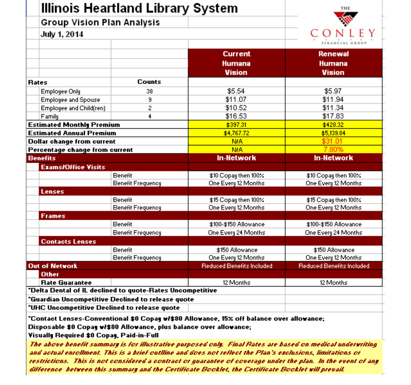|                                              | Illinois Heartland Library System                                                                                                                                                                                                                                                                         |                                                                                          | THE                       |  |  |  |  |
|----------------------------------------------|-----------------------------------------------------------------------------------------------------------------------------------------------------------------------------------------------------------------------------------------------------------------------------------------------------------|------------------------------------------------------------------------------------------|---------------------------|--|--|--|--|
| Group Vision Plan Analysis                   |                                                                                                                                                                                                                                                                                                           |                                                                                          |                           |  |  |  |  |
| July 1, 2014                                 | Counts<br>38<br>9<br>2<br>4<br>Benefit<br><b>Benefit Frequency</b><br>Benefit<br><b>Benefit Frequency</b><br>Benefit<br><b>Benefit Frequency</b><br>Benefit<br><b>Benefit Frequency</b><br>"Delta Dental of IL declined to quote-Rates Uncompetitive<br>"Guardian Uncompetitive Declined to release quote |                                                                                          |                           |  |  |  |  |
|                                              |                                                                                                                                                                                                                                                                                                           |                                                                                          |                           |  |  |  |  |
|                                              |                                                                                                                                                                                                                                                                                                           | <b>Current</b>                                                                           | Renewal                   |  |  |  |  |
|                                              |                                                                                                                                                                                                                                                                                                           | Humana                                                                                   | Humana                    |  |  |  |  |
|                                              |                                                                                                                                                                                                                                                                                                           | <b>Vision</b>                                                                            | <b>Vision</b>             |  |  |  |  |
| <b>Rates</b>                                 |                                                                                                                                                                                                                                                                                                           |                                                                                          |                           |  |  |  |  |
| <b>Employee Only</b>                         |                                                                                                                                                                                                                                                                                                           | \$5.54                                                                                   | \$5.97                    |  |  |  |  |
| <b>Employee and Spouse</b>                   |                                                                                                                                                                                                                                                                                                           | \$11.07                                                                                  | \$11.94                   |  |  |  |  |
| Employee and Child(ren)                      |                                                                                                                                                                                                                                                                                                           | \$10.52                                                                                  | \$11.34                   |  |  |  |  |
| Family                                       |                                                                                                                                                                                                                                                                                                           | \$16.53                                                                                  | \$17.83                   |  |  |  |  |
| <b>Estimated Monthly Premium</b>             |                                                                                                                                                                                                                                                                                                           | \$397.31                                                                                 | \$428.32                  |  |  |  |  |
| <b>Estimated Annual Premium</b>              |                                                                                                                                                                                                                                                                                                           | \$4,767.72                                                                               | \$5,139.84                |  |  |  |  |
| <b>Dollar change from current</b>            |                                                                                                                                                                                                                                                                                                           | <b>NIA</b>                                                                               | \$31.01                   |  |  |  |  |
| Percentage change from current               |                                                                                                                                                                                                                                                                                                           | <b>NIA</b>                                                                               | 7.80%                     |  |  |  |  |
| <b>Benefits</b>                              |                                                                                                                                                                                                                                                                                                           | <b>In-Network</b>                                                                        | <b>In-Network</b>         |  |  |  |  |
| <b>Exams/Office Visits</b>                   |                                                                                                                                                                                                                                                                                                           |                                                                                          |                           |  |  |  |  |
|                                              |                                                                                                                                                                                                                                                                                                           | \$10 Copay then 100%                                                                     | \$10 Copay then 100%      |  |  |  |  |
|                                              |                                                                                                                                                                                                                                                                                                           | One Every 12 Months                                                                      | One Every 12 Months       |  |  |  |  |
| <b>Lenses</b>                                |                                                                                                                                                                                                                                                                                                           |                                                                                          |                           |  |  |  |  |
|                                              |                                                                                                                                                                                                                                                                                                           | \$15 Copay then 100%                                                                     | \$15 Copay then 100%      |  |  |  |  |
|                                              |                                                                                                                                                                                                                                                                                                           | One Every 12 Months                                                                      | One Every 12 Months       |  |  |  |  |
| <b>Frames</b>                                |                                                                                                                                                                                                                                                                                                           |                                                                                          |                           |  |  |  |  |
|                                              |                                                                                                                                                                                                                                                                                                           | \$100-\$150 Allowance                                                                    | \$100-\$150 Allowance     |  |  |  |  |
|                                              |                                                                                                                                                                                                                                                                                                           | One Every 24 Months                                                                      | One Every 24 Months       |  |  |  |  |
| <b>Contacts Lenses</b>                       |                                                                                                                                                                                                                                                                                                           |                                                                                          |                           |  |  |  |  |
|                                              |                                                                                                                                                                                                                                                                                                           | \$150 Allowance                                                                          | \$150 Allowance           |  |  |  |  |
|                                              |                                                                                                                                                                                                                                                                                                           | One Every 12 Months                                                                      | One Every 12 Months       |  |  |  |  |
| <b>Out of Network</b>                        |                                                                                                                                                                                                                                                                                                           | <b>Reduced Benefits Included</b>                                                         | Reduced Benefits Included |  |  |  |  |
| <b>Other</b>                                 |                                                                                                                                                                                                                                                                                                           |                                                                                          |                           |  |  |  |  |
| <b>Rate Guarantee</b>                        |                                                                                                                                                                                                                                                                                                           | 12 Months                                                                                | 12 Months                 |  |  |  |  |
|                                              |                                                                                                                                                                                                                                                                                                           |                                                                                          |                           |  |  |  |  |
| "UHC Uncompetitive Declined to release quote |                                                                                                                                                                                                                                                                                                           |                                                                                          |                           |  |  |  |  |
|                                              |                                                                                                                                                                                                                                                                                                           |                                                                                          |                           |  |  |  |  |
|                                              |                                                                                                                                                                                                                                                                                                           | "Contact Lenses-Conventional \$0 Copay w/\$80 Allowance, 15% off balance over allowance: |                           |  |  |  |  |

Disposable \$0 Copay w/\$80 Allowance, plus balance over allowance;

Visually Required \$0 Copay, Paid-in-Full

The above benefit summare is for illustrative purposed only. Final Rates are based on medical underwriting and actual enrollment. This is a brief outline and does not reflect the Plan's exclusions, limitations or restrictions. This is not considered a contract or quarantee of coverage under the plan. In the event of any difference between this summare and the Certificate Booklet, the Certificate Booklet will prevail.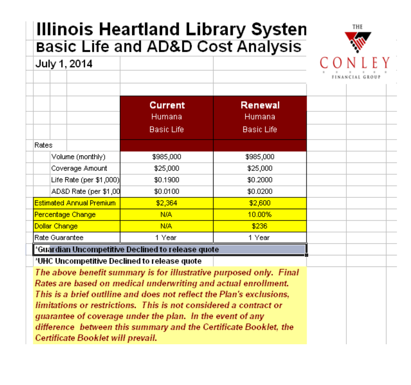### **Illinois Heartland Library Systen Basic Life and AD&D Cost Analysis**



THE

The above benefit summary is for illustrative purposed only. Final Rates are based on medical underwriting and actual enrollment. This is a brief outlline and does not reflect the Plan's exclusions. limitations or restrictions. This is not considered a contract or quarantee of coverage under the plan. In the event of any difference between this summary and the Certificate Booklet, the Certificate Booklet will prevail.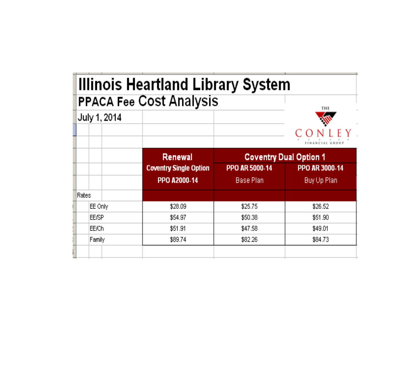|              | <b>Illinois Heartland Library System</b><br><b>PPACA Fee Cost Analysis</b> |                               |                |  |
|--------------|----------------------------------------------------------------------------|-------------------------------|----------------|--|
| July 1, 2014 |                                                                            |                               | THE            |  |
|              |                                                                            |                               |                |  |
|              | Renewal                                                                    | <b>Coventry Dual Option 1</b> |                |  |
|              | <b>Coventry Single Option</b>                                              | PPO AR 5000-14                | PPO AR 3000-14 |  |
|              | PPO A2000-14                                                               | Base Plan                     | Buy Up Plan    |  |
| Rates        |                                                                            |                               |                |  |
| EE Only      | \$28.09                                                                    | \$25.75                       | \$26.52        |  |
| <b>EE/SP</b> | \$54.97                                                                    | \$50.38                       | \$51.90        |  |
| EE/Ch        | \$51.91                                                                    | \$47.58                       | \$49.01        |  |
| Family       | \$89.74                                                                    | \$82.26                       | \$84.73        |  |